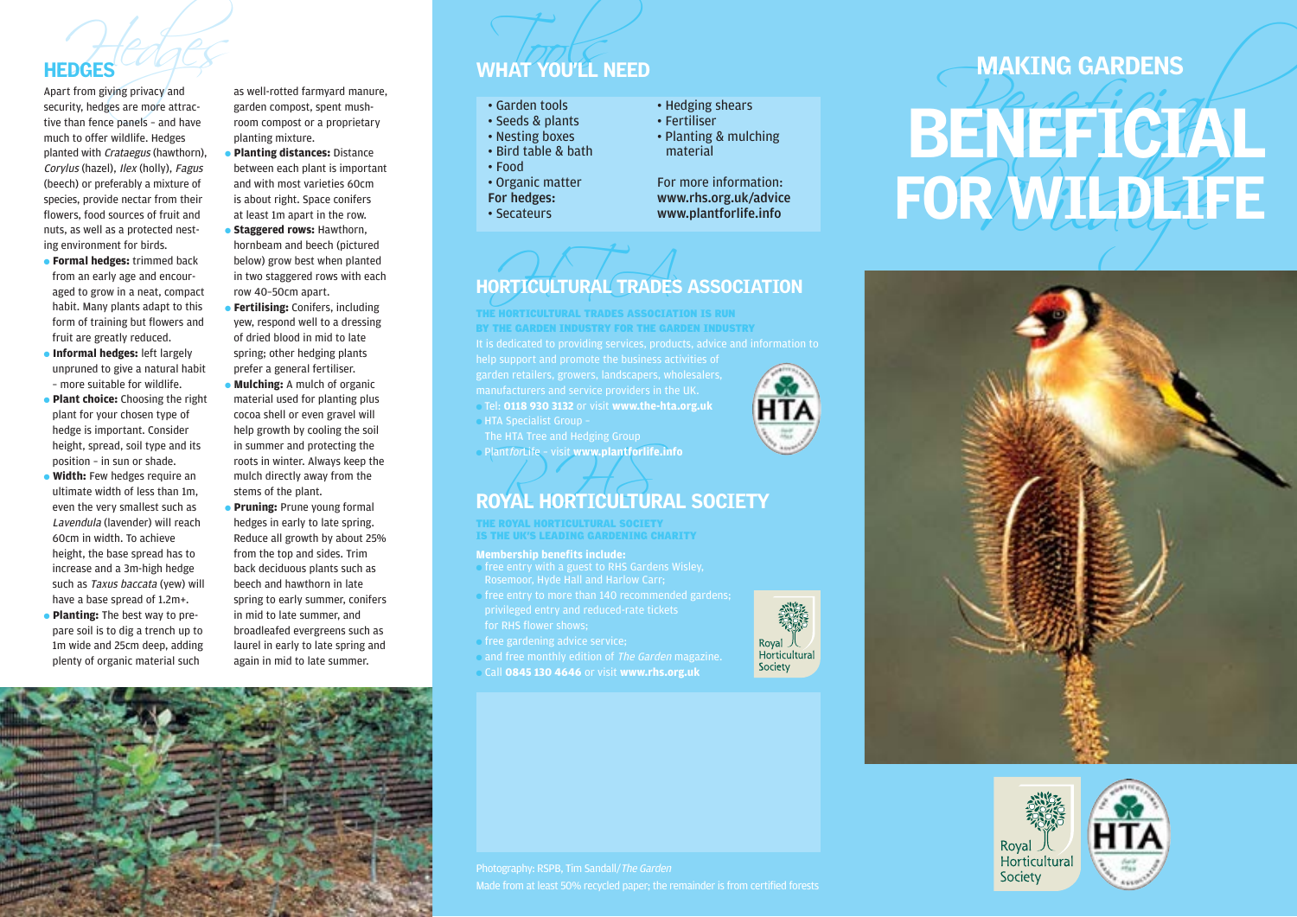much to offer wildlife. Hedges planted with Crataegus (hawthorn), Corylus (hazel), Ilex (holly), Fagus (beech) or preferably a mixture of species, provide nectar from their flowers, food sources of fruit and nuts, as well as a protected nesting environment for birds.

- **Formal hedges:** trimmed back from an early age and encouraged to grow in a neat, compact habit. Many plants adapt to this form of training but flowers and fruit are greatly reduced.
- **Informal hedges:** left largely unpruned to give a natural habit – more suitable for wildlife.
- **Plant choice:** Choosing the right plant for your chosen type of hedge is important. Consider height, spread, soil type and its position – in sun or shade.
- **Width:** Few hedges require an ultimate width of less than 1m, even the very smallest such as Lavendula (lavender) will reach 60cm in width. To achieve height, the base spread has to increase and a 3m-high hedge such as Taxus baccata (yew) will have a base spread of 1.2m+. ● **Planting:** The best way to pre-
- pare soil is to dig a trench up to 1m wide and 25cm deep, adding plenty of organic material such

# HEDGES<br>Apart from giving privacy and as well-rotted farmyard manure,<br>security, hedges are more attrac- garden compost, spent mush-<br>tive than fence panels – and have room compost or a proprietary<br>Seeds & plants as well-rotted farmyard manure, garden compost, spent mushroom compost or a proprietary

- planting mixture. ● **Planting distances:** Distance
- between each plant is important and with most varieties 60cm is about right. Space conifers at least 1m apart in the row.
- **Staggered rows:** Hawthorn, hornbeam and beech (pictured below) grow best when planted in two staggered rows with each row 40–50cm apart.
- **Fertilising:** Conifers, including yew, respond well to a dressing of dried blood in mid to late spring; other hedging plants prefer a general fertiliser.
- **Mulching:** A mulch of organic material used for planting plus cocoa shell or even gravel will help growth by cooling the soil in summer and protecting the roots in winter. Always keep the mulch directly away from the stems of the plant.
- **Pruning:** Prune young formal hedges in early to late spring. Reduce all growth by about 25% from the top and sides. Trim back deciduous plants such as beech and hawthorn in late spring to early summer, conifers in mid to late summer, and broadleafed evergreens such as laurel in early to late spring and again in mid to late summer.

- 
- 
- -
- 
- 
- 
- 

- 
- 
- 

### ORTICULTURAL TRADES HORTICULTURAL TRADES ASSOCIATION

THE HORTICULTURAL TRADES ASSOCIATION IS RUN BY THE GARDEN INDUSTRY FOR THE GARDEN INDUSTRY

manufacturers and service providers in the UK. ● Tel: **0118 930 3132** or visit **www.the-hta.org.uk**

**HTA Specialist Group -**

The HTA Tree and Hedging Group ● PlantforLife – visit **www.plantforlife.info**

# Plant*for*Life - visit www.plantforlife.info<br>ROYAL HORTICULTURAL SOCIETY

THE ROYAL HORTICULTURAL SOCIETY IS THE UK'S LEADING GARDENING CHARITY

### **Membership benefits include:**

- free entry with a guest to RHS Gardens Wisley, Rosemoor, Hyde Hall and Harlow Carr;
- free entry to more than 140 recommended gardens; for RHS flower shows;
- free gardening advice service;
- and free monthly edition of The Garden magazine.
- Call **0845 130 4646** or visit **www.rhs.org.uk**



# **HEDGES**<br>
Applies are more attack<br>
security, hedges are more attack<br>
security, hedges are more attack<br>
then there cannot seen the security.<br>
From the cannot security and the computations are attack to a substitution of the







Photography: RSPB, Tim Sandall/The Garden Made from at least 50% recycled paper; the remainder is from certified forests